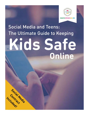

# Social Media and Teens: The Ultimate Guide to Keeping **Kids Safe Online**

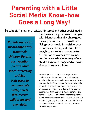# **Parenting with a Little Social Media Know-how Goes a Long Way!**

F**acebook, Instagram, Twitter, Pinterest and other social media** 

*Parents use social media differently from their children. Parents post vacation pictures and share interesting articles. Kids use it to communicate with friends, flirt, receive validation, and even date.*

**platforms are a great way to keep up with friends and family, share good messages, and learn from others. Using social media in positive, useful ways, can be a great tool. However, it can turn into a weapon for distraction or worse if we are not continually taking inventory of our children's phone usage and our own time on the smartphone..**

Whether your child is just starting to use social media or already has an account, this guide and social media contract is a phenomenal asset to setting standards of current and future social media use and can protect your family from a lot of the distraction, negativity, and destructive media on the internet. Signing a social media contract like the one included in this lesson or creating a social media account is not the end of the discussion. It's just the beginning! Revisit the rules in this lesson and your children's phone/screen usage at least three times per year.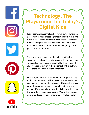# **Technology: The Playground for Today's Digital Kids**

It's no secret that technology has revolutionized the rising generation. Instead of passing notes in class, they text and tweet. Rather than waiting until prom to see each other's dresses, they post pictures while they shop. And if they have a crush and want to share with friends, they can just pull up a pic on social media.

This phenomenon has created a culture that is virtually wired to technology. The digital arena is their playground. To them, tech is not good or bad. It's like the swings and slide we used to play on in the old schoolyard--it's always been there, as long as they can remember.

However, just like the recess monitor is always watching for hazards and ready to blow the whistle, we need to be watching and aware of the dangers in this new virtual playground. As parents, it is our responsibility to help protect our kids. Unfortunately, because the digital world is tricky the hazards there are more elusive. We won't see the dangers to our kids if we don't know what we're looking for.

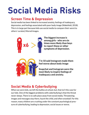# **Social Media Risks**

## **Screen Time & Depression**

Social media has been linked to increased anxiety, feelings of inadequacy, depression, and feelings associated with poor body image (Wakefield, 2018). This is in large part because kids use social media to compare their worst to others' curated, filtered images.



**The biggest increase is among girls - who are six times more likely than boys to report these or other symptoms of depression.**



**7 in 10 said Instagram made them feel worse about body image**

**Snapchat and Instagram were the most likely to inspire feelings of inadequacy and anxiety.**

## **Social Media & Cyberbullying**

When we were kids, we left the bullies at school, but, that isn't the case for our kids. One of the biggest problems with cyberbullying is that the threat never sleeps. There is no safe place away from social media. Threatening images and messages stay there, haunt the child, and often snowball. For this reason, many children are crushing under the constant psychological pressure of cyberbullying, leading to depression, social issues or worse.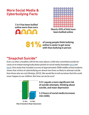#### **More Social Media & Cyberbullying Facts**

**1 in 4 has been bullied online more than once**



**Nearly 43% of kids have been bullied online**

**of young people think bullying 831 Wanter of the U.S. Schools Schools Constraints Service Constraints Service Construction**<br> **818 With than bullying in person** 

#### **"Snapchat Suicide"**

Every so often a headline will hit the news about a child who committed suicide because of an embarrassing/nude photo posted on social media (examples [here](https://www.thedailybeast.com/nude-snapchat-leak-drove-teen-girl-to-suicide) and [here](https://www.theguardian.com/technology/2016/jul/21/snapchat-privacy-law-violations-teen-suicide)). One study that included a survey of approximately 2000 middle school students shows that victims of cyberbullying are almost two times as likely to attempt suicide than those who are not (Hinduja, 2012). We would like to tell ourselves that this could never happen to our children. But how can we be sure?



**3-5+ equals a more significant risk of suicide attempts, thinking about suicide, and maor depression** 

**1-2 hours of social media increases risk mildly**

**3+ Hrs 1-2 Hrs Risk of Suicide & Major Depression**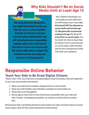

### **Why Kids Shouldn't Be on Social Media Until at Least Age 13**

*Knowing these terrifying facts, you might be tempted to pull your kids off social media altogether. Instead, use the fear to propel you into action. Raising kids who will someday become responsible, capable adults, they will need to function in a tech-saturated world. We need to help them navigate this turbulent terrain, by using your home as a training ground.*

Your children should get a social media account while they are still living in your home, **but, kids should NOT be allowed on social media until** *at least* **age 13. We generally recommend waiting until age 15, 16, or 17 to let them on social media.** It is far better for them to learn how to behave, how to communicate on social media, make mistakes and see the consequences while still under your guidance.

## **Responsibe Online Behavior Teach Your Kids to Be Great Digital Citizens**

"Show," don't "tell" your kids how to be good digital citizens by being kind and respectful in your own social media interactions.

- Show your kids how to handle a disagreement on social media.
- Show your kids healthy and unhealthy examples of social media use.
- Teach them to be thoughtful.
- Encourage as much face-to-face interaction as possible with your kids and their friends--including group dating--as a balance to their online socialization.

Remind your kids, everything shared on social media can make an impact that you would never expect. (See the Discussion Questions section below).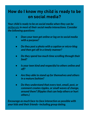## **How do I know my child is ready to be on social media?**

*Your child is ready to be on social media when they can be deliberate in most of their social media interactions. Consider the following questions:*

- *Does your teen get online or log on to social media with a purpose?*
- *Do they post a photo with a caption or micro-blog and then get off in a timely manner?*
- *Do they spend too much time scrolling through their feed?*
- *Is your teen kind and respectful to others online and off?*
- *Are they able to stand up for themselves and others in a mature fashion?*
- *Do they understand that every text, email, post, or comment creates ripples, or small waves of change, around them? (Ripples that can help others or hurt others.)*

*Encourage as much face-to-face interaction as possible with your kids and their friends--including group dating.*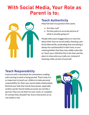## **With Social Media, Your Role as Parent is to:**



#### **Teach Authenticity**

Help kids learn to question their posts.

- Are they real?
- Do they paint an accurate picture of what is actually going on?

People often post exaggerations or even lies about their lives on social media, showing a perfectly filtered life, pretending that everything is always fun and beautiful in their lives, or proclaiming beliefs that they only mildly subscribe to. Teach your child that this is the time and the place to show who you really are, instead of showing a fake version of yourself.

#### **Teach Responsibility**

A person with a heartbeat sits somewhere reading and reacting to what is being posted. That it why it is so important to teach our children to take personal responsibility for their own social media relationships. Remind your kids that words have power, especially written words! Social media accounts are not like a journal. They are not there to rant, mock, or complain. Or at least they shouldn't be. Every interaction on social media is real.

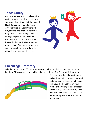#### **Teach Safety**

A grown man can just as easily create a profile to make himself appear to be a young girl. Teach them that they should NEVER share personal information with strangers, including their birthday, address, and location. Be sure that they know never to arrange to meet a stranger in person that they have only met online. Tell your kids that while it's good to be real, it's important not to over-share. Emphasize the fact that you never really know who is on the other side of the computer screen.



#### **Encourage Creativity**

Whether it's online or offline, encourage your child to read, draw, paint, write, create, build, etc. This encourages your child to be true to himself, to find worth in his own be-



liefs, and to explore his own thoughts and desires--not just what the current culture dictates. This goes right along with your children's lives online. If you help them find genuine interests and encourage those interests, it will be easier to be more authentic online because they will be more authentic offline too.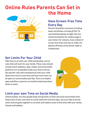## **Online Rules Parents Can Set in the Home**



#### **Have Screen-Free Time Every Day**

Parents should be conscious of setting down cell phones, turning off the TV, and shutting laptops at night. Set consistent boundaries for media usage in your home. For instance, have a block of screen-free time each day or make cell phones off limits at the dinner table or in bedrooms.

#### **Set Limits For Your Child**

Take time to sit with your child and develop a set of rules that will work for your family. These rules should include which websites, apps, media, and social media platforms are acceptable inside your home and out. Set specific rules and consequences with your child about how much screen time and how much time can be spent on social media each day. There are helpful apps and filters a parent can install to help keep these limits in check.



#### **Limit your own Time on Social Media**

Unfortunately, very few people keep strong limits on their personal social media time. Keep track of your own time on social media the next few days, ask your kids to do the same, and set goals together to cut back and replace some of that time with your family, friends and hobbies.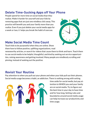#### **Delete Time-Sucking Apps off Your Phone**

People spend far more time on social media than they realize. Make it harder for yourself and your kids by removing apps that are just one mindless click away. This practice will benefit you and your family more than you realize. Even if you just delete your social media apps for a week or two, it helps you break the habit of overuse.



#### **Make Social Media Time Count**

Teach kids to be purposeful when they are online. Show them how to follow positive, uplifting organizations, read

newsworthy articles, or search for videos that cause them to think and learn. Teach them to use social media to be helpful, thoughtful, and kind by seeking out service opportunities, raising awareness and getting involved. Many people are mindlessly scrolling and pinning, instead of seeking out the positive.

#### **Revisit Your Routine**

Pay attention to when you pull out your phone and when your kids pull out their phones. Social media usage becomes a habit, an addiction. There is nothing wrong with setting



time aside for social media, but pay attention to WHEN you and your family are on social media. Try to figure out the best time in your day to have time and for how long. Setting rules and boundaries around social media usage can help increase our productivity and time usage.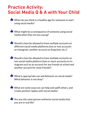## **Practice Activity: Social Media Q & A with Your Child**

 $\blacktriangleright$  When do you think is a healthy age for someone to start using social media?

 $\bullet$  What might be a consequence of someone using social media when they are too young?

**• Should a teen be allowed to have multiple accounts on** different social media platforms (one or two accounts on Instagram, another account on Snapchat, etc.)?

- **Should a teen be allowed to have multiple accounts on** one social media platform (two or more accounts on Instagram such as an account for any friends at school and another account for close friends)?
- $\blacktriangleright$  What is appropriate use and behavior on social media? What behavior is not okay?
- $\blacksquare$  What are some ways we can help and uplift others, and create positive ripples with social media?

 $\bullet$  Are you the same person online/on social media that you are in real life?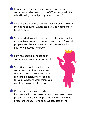$\blacksquare$  If someone posted an embarrassing photo of you on social media, what would you do? What can you do if a friend is being treated poorly on social media?

 $\bullet$  What is the difference between rude behavior on social media and bullying? What should you do if someone is being bullied?

 $\bullet$  Social media has made it easier to reach out to senators, mayors, favorite authors, experts, and other influential people through email or social media. Who would you like to connect with and why?

 $\blacksquare$  How much texting or posting on social media in one day is too much?

**• Sometimes people spend time on** social media or other apps when they are bored, lonely, stressed, or sad. Is this a helpful way of coping for you? What are other things you can do when you feel this way?



**• Predators will always "go" where** kids are, and kids are on social media now. How can we protect ourselves and our personal information from predators online? How else do we stay safe online?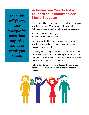*Your Kids will follow your example far more than any rules you set or words you speak.*

#### **Activities You Can Do Today to Teach Your Children Social Media Etiquette**

Teach your kids that our words, especially written/typed words, have power. Write your child a heartfelt note. Ask them to read it, and think about the words inside.

- Does it make them feel good?
- Does it make them feel loved?

Remind them that it is the same with social media. The words that we post make people feel, and we want to make people feel good.

Challenge your family to make their media interactions more positive. Set a goal to post only positive things for one week. Encourage family members to share uplifting, informative or humorous examples.

Follow Up after one week and discuss the positive impact your kids were able to make among friends and loved ones.

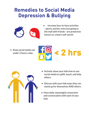## **Remedies to Social Media Depression & Bullying**



• Increase face-to-face activities - sports, parties, even just going to the mall with friends - are protective factors or a teen's self-worth.

• Keep social media use under 2 hours a day.





- Actively show your kids how to use social media to uplift, teach, and help others.
- Discuss with your kids ways they can stand up for themselves AND others.
- Have daily, meaningful connection and conversation with each of your kids.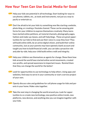#### **How Your Teen Can Use Social Media for Good**

**• Help your kids see potential in all technology. Start looking for ways to** use phones, tablets, etc., as tools and instruments, not just as a way to pacify or entertain us.

**• Don't be afraid to let your kids try something new like starting a website,** photo blog, or creating a Youtube channel. These can be amazing platforms for your children to express themselves creatively. Many teens have started online petitions, art tutorial channels, photography pages, fashion and make-up classes, and self-help blogs . These are great opportunities for our kids to find and use their voice in a way they love! They will build online skills, be an active digital citizen, and build their online community. Just as your parents may have opened a bank account and taught you how to build financial credit, you can take a proactive role and,side-by-side, help your child build online credit and integrity.

**• Help your children see themselves as agents for change. Show them how** kids around the world have started online social movements, created non-profits, and spread awareness to important issues. Remind them that they can change the world for the better!

**• Look for opportunities to use technology to help others. Using apps and** websites, find ways to serve in your community or start a service project of your own.

**• Openly discuss rules and guidelines for cell phone usage for kids and par**ents in your home. Make rules together.

**• Take the next step in changing the world around you. Look for oppor**tunities to co-create new technology, new positive online trends, new platforms, new devices, and anything else you can imagine together with your kids.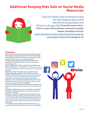#### **Additional Keeping Kids Safe on Social Media Resources**



[Lesson for Families: Using Technology For Good](http://bit.ly/2d0bdvS) [The Most Dangerous Apps of 2018](http://bit.ly/dangerousapps18) [Why Kids Are Leading Double Lives](http://bit.ly/2HeyAAD) [30 Days to a Stronger Child](http://amzn.to/1TEMnUr): Great discussions and activities on topics like boundaries, community, empathy, honesty, friendship and more! [Noah's New Phone: A Story About Using Technology for](http://amzn.to/2zinsBV) [Good](http://amzn.to/2zinsBV) (a great resource for kids ages 6-12)

#### **Citations:**

Cohen, D. (2017, March 22). How Much Time Will the Average Person Spend on Social Media During Their Life? (Infographic). Retrieved August 26, 2017, from [http://www.adweek.com/digi](http://www.adweek.com/digital/mediakix-time-spent-social-media-infographic/)[tal/mediakix-time-spent-social-media-infographic/](http://www.adweek.com/digital/mediakix-time-spent-social-media-infographic/)

Hinduja, S. (2012). Bullying, Cyberbullying, and Suicide. Retrieved April 27, 2018, from [https://www.ncbi.nlm.nih.gov/](https://www.ncbi.nlm.nih.gov/pubmed/20658375) [pubmed/20658375](https://www.ncbi.nlm.nih.gov/pubmed/20658375).

Knorr, C. (2018, January 09). The Sneaky Science Behind Your Kid's Tech Obsessions. Retrieved from [https://www.common](https://www.commonsensemedia.org/blog/the-sneaky-science-behind-your-kids-tech-obsessions)[sensemedia.org/blog/the-sneaky-science-behind-your-kids-tech](https://www.commonsensemedia.org/blog/the-sneaky-science-behind-your-kids-tech-obsessions)[obsessions](https://www.commonsensemedia.org/blog/the-sneaky-science-behind-your-kids-tech-obsessions)

Neighmond, P. (2017, November 14). Increased Hours Online Correlate With An Uptick In Teen Depression, Suicidal Thoughts. Retrieved from [https://www.npr.org/sections/health](https://www.npr.org/sections/health-shots/2017/11/14/563767149/increased-hours-online-correlate-with)[shots/2017/11/14/563767149/increased-hours-online-cor](https://www.npr.org/sections/health-shots/2017/11/14/563767149/increased-hours-online-correlate-with)[relate-with-an-uptick-in-teen-depression-suicidal-thou](https://www.npr.org/sections/health-shots/2017/11/14/563767149/increased-hours-online-correlate-with)

O'Donnell, J. (n.d.). A Sample Social Media Contract for Tweens. Retrieved from [https://www.verywellfamily.com/social-media](https://www.verywellfamily.com/social-media-contract-for-tweens-and-parents-3288520)[contract-for-tweens-and-parents-3288520](https://www.verywellfamily.com/social-media-contract-for-tweens-and-parents-3288520)

My Teen's Social Media Contract. (2016, October 30). Retrieved from [http://www.scarymommy.com/my-teens-social-media-con](http://www.scarymommy.com/my-teens-social-media-contract/)[tract/](http://www.scarymommy.com/my-teens-social-media-contract/)

Wakefield, J. (2018, February 10). Is social media causing childhood depression? Retrieved from [http://www.bbc.com/news/](http://www.bbc.com/news/technology-42705881) [technology-42705881](http://www.bbc.com/news/technology-42705881)

Woollaston , V. (2015, October 29). How often do YOU check your phone? Average user picks up their device 85 times a DAY - twice as often as they realise. Retrieved August 26, 2017, from [http://www.dailymail.co.uk/sciencetech/article-3294994/How](http://www.dailymail.co.uk/sciencetech/article-3294994/How-check-phone-Average-user-picks-device-85-)[check-phone-Average-user-picks-device-85-times-DAY-twice](http://www.dailymail.co.uk/sciencetech/article-3294994/How-check-phone-Average-user-picks-device-85-)[realise.html](http://www.dailymail.co.uk/sciencetech/article-3294994/How-check-phone-Average-user-picks-device-85-)

11 Facts About Cyber Bullying. (n.d.). Retrieved from [https://](https://www.dosomething.org/us/facts/11-facts-about-cyber-bullying) [www.dosomething.org/us/facts/11-facts-about-cyber-bullying](https://www.dosomething.org/us/facts/11-facts-about-cyber-bullying)